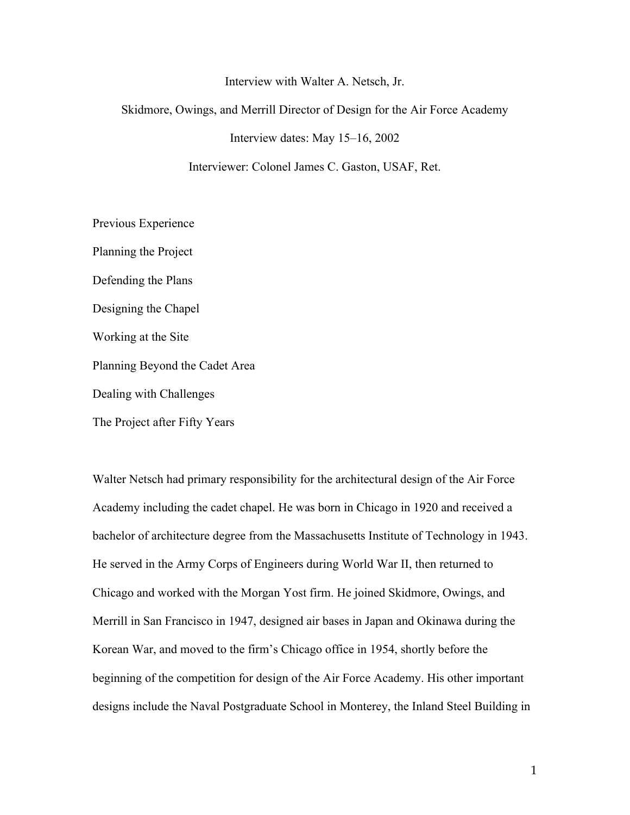#### Interview with Walter A. Netsch, Jr.

#### Skidmore, Owings, and Merrill Director of Design for the Air Force Academy

Interview dates: May 15–16, 2002

Interviewer: Colonel James C. Gaston, USAF, Ret.

Previous Experience Planning the Project Defending the Plans Designing the Chapel Working at the Site Planning Beyond the Cadet Area Dealing with Challenges The Project after Fifty Years

Walter Netsch had primary responsibility for the architectural design of the Air Force Academy including the cadet chapel. He was born in Chicago in 1920 and received a bachelor of architecture degree from the Massachusetts Institute of Technology in 1943. He served in the Army Corps of Engineers during World War II, then returned to Chicago and worked with the Morgan Yost firm. He joined Skidmore, Owings, and Merrill in San Francisco in 1947, designed air bases in Japan and Okinawa during the Korean War, and moved to the firm's Chicago office in 1954, shortly before the beginning of the competition for design of the Air Force Academy. His other important designs include the Naval Postgraduate School in Monterey, the Inland Steel Building in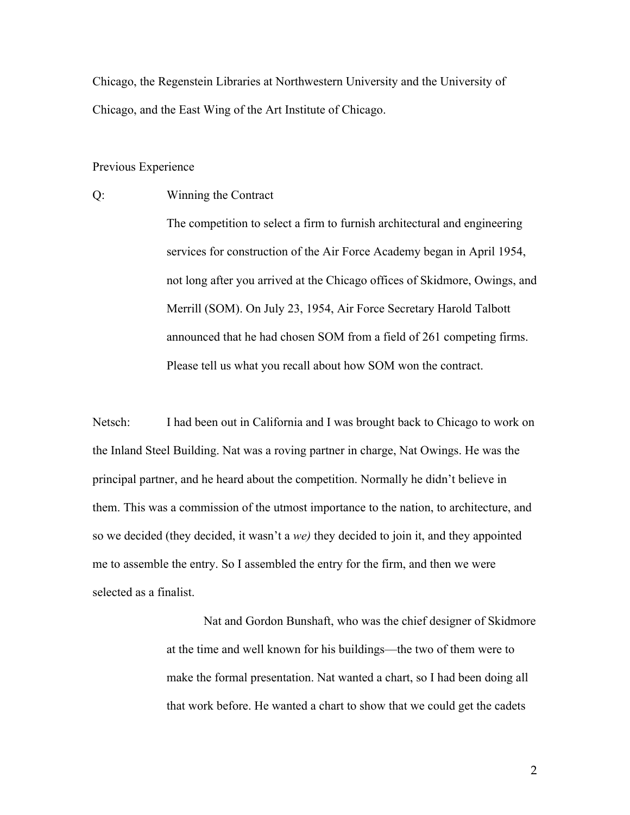Chicago, the Regenstein Libraries at Northwestern University and the University of Chicago, and the East Wing of the Art Institute of Chicago.

#### Previous Experience

Q: Winning the Contract

The competition to select a firm to furnish architectural and engineering services for construction of the Air Force Academy began in April 1954, not long after you arrived at the Chicago offices of Skidmore, Owings, and Merrill (SOM). On July 23, 1954, Air Force Secretary Harold Talbott announced that he had chosen SOM from a field of 261 competing firms. Please tell us what you recall about how SOM won the contract.

Netsch: I had been out in California and I was brought back to Chicago to work on the Inland Steel Building. Nat was a roving partner in charge, Nat Owings. He was the principal partner, and he heard about the competition. Normally he didn't believe in them. This was a commission of the utmost importance to the nation, to architecture, and so we decided (they decided, it wasn't a *we)* they decided to join it, and they appointed me to assemble the entry. So I assembled the entry for the firm, and then we were selected as a finalist.

> Nat and Gordon Bunshaft, who was the chief designer of Skidmore at the time and well known for his buildings—the two of them were to make the formal presentation. Nat wanted a chart, so I had been doing all that work before. He wanted a chart to show that we could get the cadets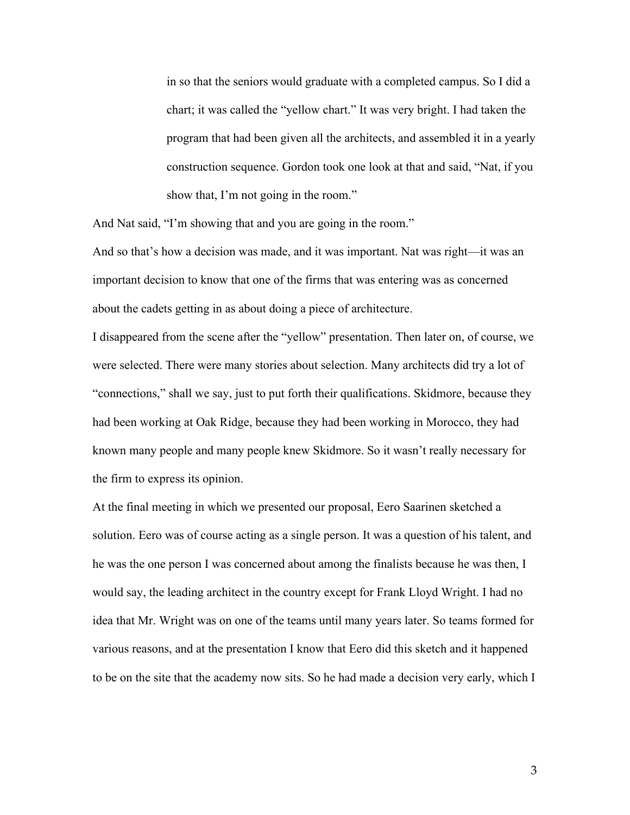in so that the seniors would graduate with a completed campus. So I did a chart; it was called the "yellow chart." It was very bright. I had taken the program that had been given all the architects, and assembled it in a yearly construction sequence. Gordon took one look at that and said, "Nat, if you show that, I'm not going in the room."

And Nat said, "I'm showing that and you are going in the room."

And so that's how a decision was made, and it was important. Nat was right—it was an important decision to know that one of the firms that was entering was as concerned about the cadets getting in as about doing a piece of architecture.

I disappeared from the scene after the "yellow" presentation. Then later on, of course, we were selected. There were many stories about selection. Many architects did try a lot of "connections," shall we say, just to put forth their qualifications. Skidmore, because they had been working at Oak Ridge, because they had been working in Morocco, they had known many people and many people knew Skidmore. So it wasn't really necessary for the firm to express its opinion.

At the final meeting in which we presented our proposal, Eero Saarinen sketched a solution. Eero was of course acting as a single person. It was a question of his talent, and he was the one person I was concerned about among the finalists because he was then, I would say, the leading architect in the country except for Frank Lloyd Wright. I had no idea that Mr. Wright was on one of the teams until many years later. So teams formed for various reasons, and at the presentation I know that Eero did this sketch and it happened to be on the site that the academy now sits. So he had made a decision very early, which I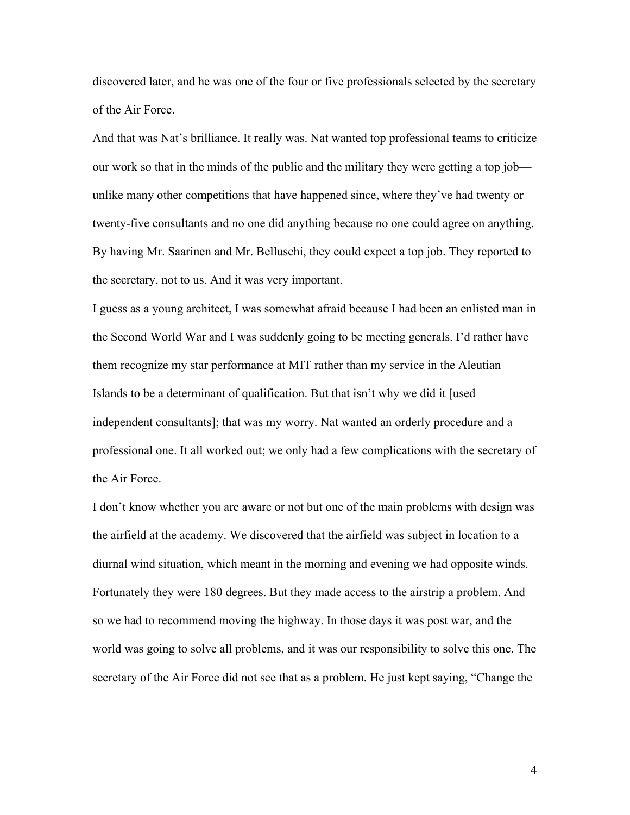discovered later, and he was one of the four or five professionals selected by the secretary of the Air Force.

And that was Nat's brilliance. It really was. Nat wanted top professional teams to criticize our work so that in the minds of the public and the military they were getting a top job unlike many other competitions that have happened since, where they've had twenty or twenty-five consultants and no one did anything because no one could agree on anything. By having Mr. Saarinen and Mr. Belluschi, they could expect a top job. They reported to the secretary, not to us. And it was very important.

I guess as a young architect, I was somewhat afraid because I had been an enlisted man in the Second World War and I was suddenly going to be meeting generals. I'd rather have them recognize my star performance at MIT rather than my service in the Aleutian Islands to be a determinant of qualification. But that isn't why we did it [used independent consultants]; that was my worry. Nat wanted an orderly procedure and a professional one. It all worked out; we only had a few complications with the secretary of the Air Force.

I don't know whether you are aware or not but one of the main problems with design was the airfield at the academy. We discovered that the airfield was subject in location to a diurnal wind situation, which meant in the morning and evening we had opposite winds. Fortunately they were 180 degrees. But they made access to the airstrip a problem. And so we had to recommend moving the highway. In those days it was post war, and the world was going to solve all problems, and it was our responsibility to solve this one. The secretary of the Air Force did not see that as a problem. He just kept saying, "Change the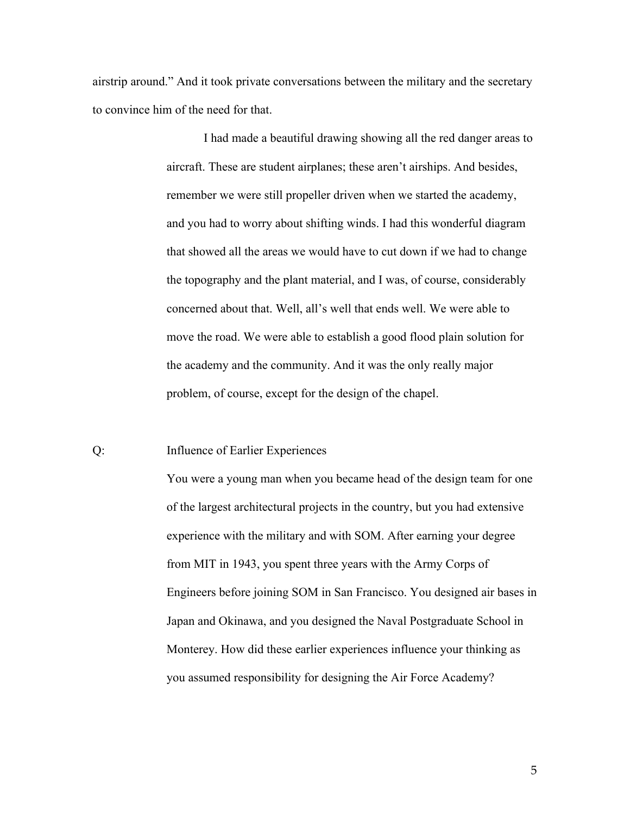airstrip around." And it took private conversations between the military and the secretary to convince him of the need for that.

> I had made a beautiful drawing showing all the red danger areas to aircraft. These are student airplanes; these aren't airships. And besides, remember we were still propeller driven when we started the academy, and you had to worry about shifting winds. I had this wonderful diagram that showed all the areas we would have to cut down if we had to change the topography and the plant material, and I was, of course, considerably concerned about that. Well, all's well that ends well. We were able to move the road. We were able to establish a good flood plain solution for the academy and the community. And it was the only really major problem, of course, except for the design of the chapel.

### Q: Influence of Earlier Experiences

You were a young man when you became head of the design team for one of the largest architectural projects in the country, but you had extensive experience with the military and with SOM. After earning your degree from MIT in 1943, you spent three years with the Army Corps of Engineers before joining SOM in San Francisco. You designed air bases in Japan and Okinawa, and you designed the Naval Postgraduate School in Monterey. How did these earlier experiences influence your thinking as you assumed responsibility for designing the Air Force Academy?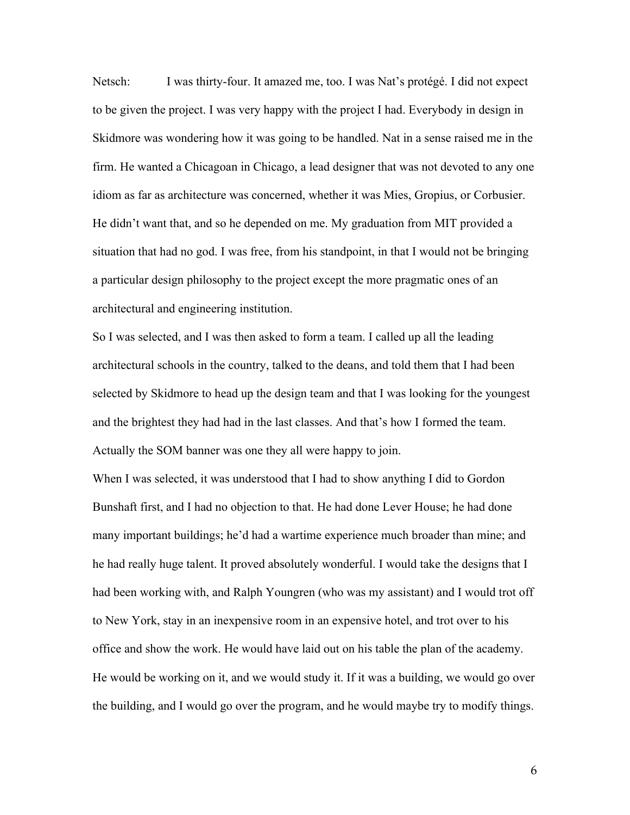Netsch: I was thirty-four. It amazed me, too. I was Nat's protégé. I did not expect to be given the project. I was very happy with the project I had. Everybody in design in Skidmore was wondering how it was going to be handled. Nat in a sense raised me in the firm. He wanted a Chicagoan in Chicago, a lead designer that was not devoted to any one idiom as far as architecture was concerned, whether it was Mies, Gropius, or Corbusier. He didn't want that, and so he depended on me. My graduation from MIT provided a situation that had no god. I was free, from his standpoint, in that I would not be bringing a particular design philosophy to the project except the more pragmatic ones of an architectural and engineering institution.

So I was selected, and I was then asked to form a team. I called up all the leading architectural schools in the country, talked to the deans, and told them that I had been selected by Skidmore to head up the design team and that I was looking for the youngest and the brightest they had had in the last classes. And that's how I formed the team. Actually the SOM banner was one they all were happy to join.

When I was selected, it was understood that I had to show anything I did to Gordon Bunshaft first, and I had no objection to that. He had done Lever House; he had done many important buildings; he'd had a wartime experience much broader than mine; and he had really huge talent. It proved absolutely wonderful. I would take the designs that I had been working with, and Ralph Youngren (who was my assistant) and I would trot off to New York, stay in an inexpensive room in an expensive hotel, and trot over to his office and show the work. He would have laid out on his table the plan of the academy. He would be working on it, and we would study it. If it was a building, we would go over the building, and I would go over the program, and he would maybe try to modify things.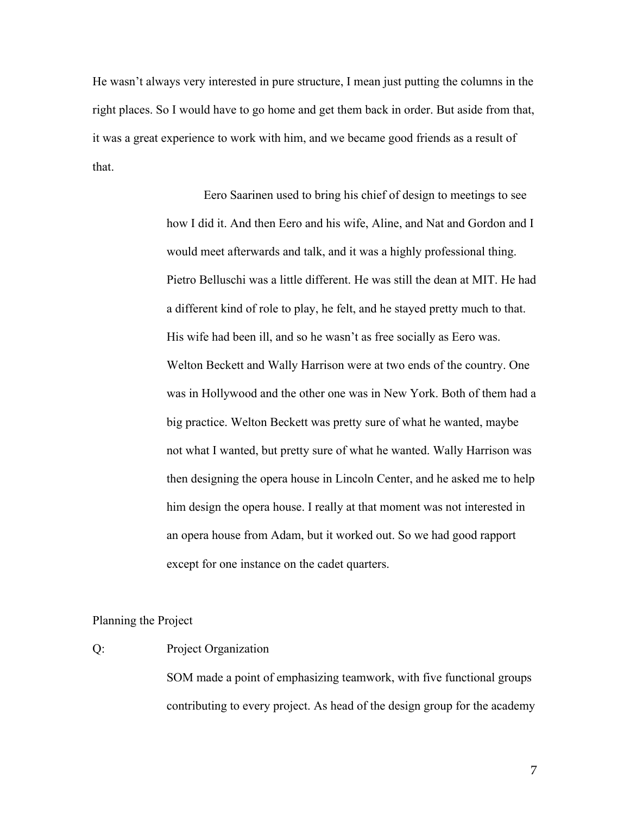He wasn't always very interested in pure structure, I mean just putting the columns in the right places. So I would have to go home and get them back in order. But aside from that, it was a great experience to work with him, and we became good friends as a result of that.

> Eero Saarinen used to bring his chief of design to meetings to see how I did it. And then Eero and his wife, Aline, and Nat and Gordon and I would meet afterwards and talk, and it was a highly professional thing. Pietro Belluschi was a little different. He was still the dean at MIT. He had a different kind of role to play, he felt, and he stayed pretty much to that. His wife had been ill, and so he wasn't as free socially as Eero was. Welton Beckett and Wally Harrison were at two ends of the country. One was in Hollywood and the other one was in New York. Both of them had a big practice. Welton Beckett was pretty sure of what he wanted, maybe not what I wanted, but pretty sure of what he wanted. Wally Harrison was then designing the opera house in Lincoln Center, and he asked me to help him design the opera house. I really at that moment was not interested in an opera house from Adam, but it worked out. So we had good rapport except for one instance on the cadet quarters.

### Planning the Project

### Q: Project Organization

SOM made a point of emphasizing teamwork, with five functional groups contributing to every project. As head of the design group for the academy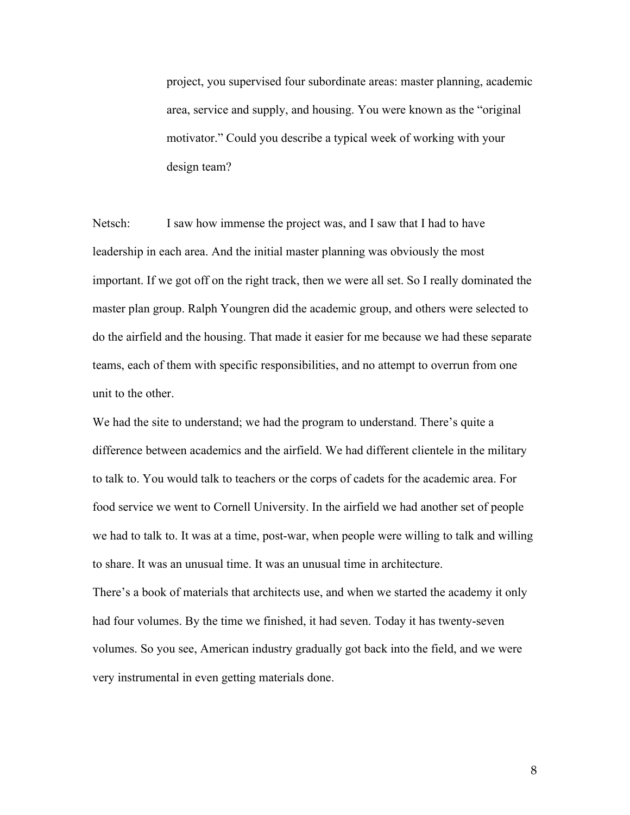project, you supervised four subordinate areas: master planning, academic area, service and supply, and housing. You were known as the "original motivator." Could you describe a typical week of working with your design team?

Netsch: I saw how immense the project was, and I saw that I had to have leadership in each area. And the initial master planning was obviously the most important. If we got off on the right track, then we were all set. So I really dominated the master plan group. Ralph Youngren did the academic group, and others were selected to do the airfield and the housing. That made it easier for me because we had these separate teams, each of them with specific responsibilities, and no attempt to overrun from one unit to the other.

We had the site to understand; we had the program to understand. There's quite a difference between academics and the airfield. We had different clientele in the military to talk to. You would talk to teachers or the corps of cadets for the academic area. For food service we went to Cornell University. In the airfield we had another set of people we had to talk to. It was at a time, post-war, when people were willing to talk and willing to share. It was an unusual time. It was an unusual time in architecture.

There's a book of materials that architects use, and when we started the academy it only had four volumes. By the time we finished, it had seven. Today it has twenty-seven volumes. So you see, American industry gradually got back into the field, and we were very instrumental in even getting materials done.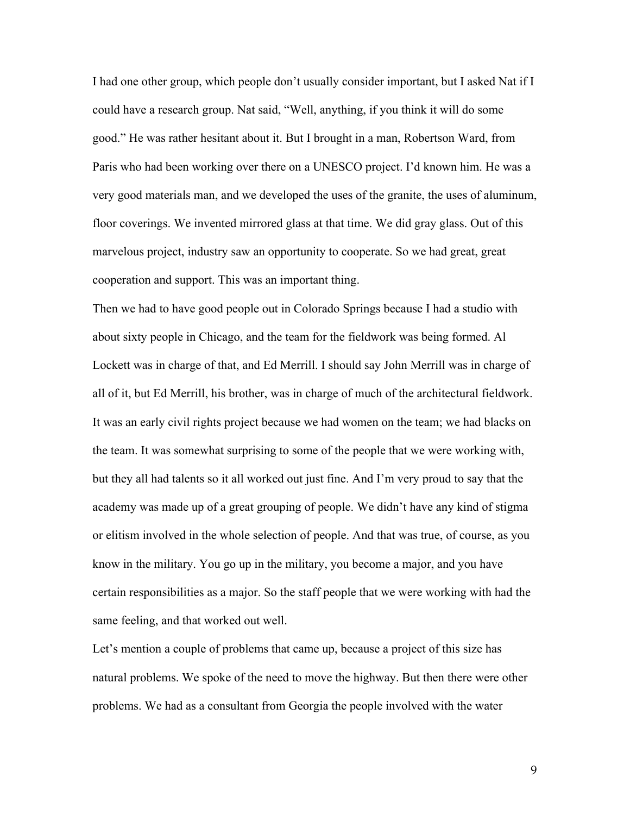I had one other group, which people don't usually consider important, but I asked Nat if I could have a research group. Nat said, "Well, anything, if you think it will do some good." He was rather hesitant about it. But I brought in a man, Robertson Ward, from Paris who had been working over there on a UNESCO project. I'd known him. He was a very good materials man, and we developed the uses of the granite, the uses of aluminum, floor coverings. We invented mirrored glass at that time. We did gray glass. Out of this marvelous project, industry saw an opportunity to cooperate. So we had great, great cooperation and support. This was an important thing.

Then we had to have good people out in Colorado Springs because I had a studio with about sixty people in Chicago, and the team for the fieldwork was being formed. Al Lockett was in charge of that, and Ed Merrill. I should say John Merrill was in charge of all of it, but Ed Merrill, his brother, was in charge of much of the architectural fieldwork. It was an early civil rights project because we had women on the team; we had blacks on the team. It was somewhat surprising to some of the people that we were working with, but they all had talents so it all worked out just fine. And I'm very proud to say that the academy was made up of a great grouping of people. We didn't have any kind of stigma or elitism involved in the whole selection of people. And that was true, of course, as you know in the military. You go up in the military, you become a major, and you have certain responsibilities as a major. So the staff people that we were working with had the same feeling, and that worked out well.

Let's mention a couple of problems that came up, because a project of this size has natural problems. We spoke of the need to move the highway. But then there were other problems. We had as a consultant from Georgia the people involved with the water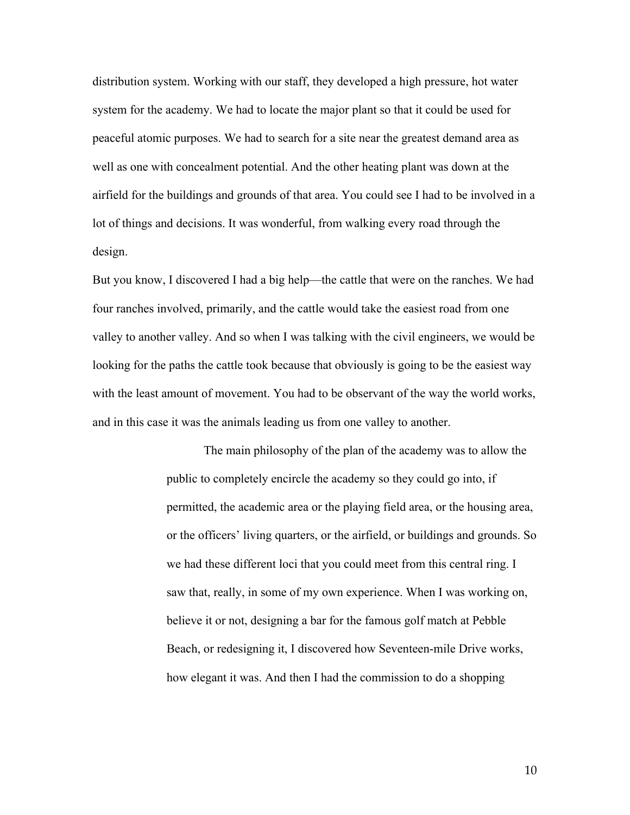distribution system. Working with our staff, they developed a high pressure, hot water system for the academy. We had to locate the major plant so that it could be used for peaceful atomic purposes. We had to search for a site near the greatest demand area as well as one with concealment potential. And the other heating plant was down at the airfield for the buildings and grounds of that area. You could see I had to be involved in a lot of things and decisions. It was wonderful, from walking every road through the design.

But you know, I discovered I had a big help—the cattle that were on the ranches. We had four ranches involved, primarily, and the cattle would take the easiest road from one valley to another valley. And so when I was talking with the civil engineers, we would be looking for the paths the cattle took because that obviously is going to be the easiest way with the least amount of movement. You had to be observant of the way the world works, and in this case it was the animals leading us from one valley to another.

> The main philosophy of the plan of the academy was to allow the public to completely encircle the academy so they could go into, if permitted, the academic area or the playing field area, or the housing area, or the officers' living quarters, or the airfield, or buildings and grounds. So we had these different loci that you could meet from this central ring. I saw that, really, in some of my own experience. When I was working on, believe it or not, designing a bar for the famous golf match at Pebble Beach, or redesigning it, I discovered how Seventeen-mile Drive works, how elegant it was. And then I had the commission to do a shopping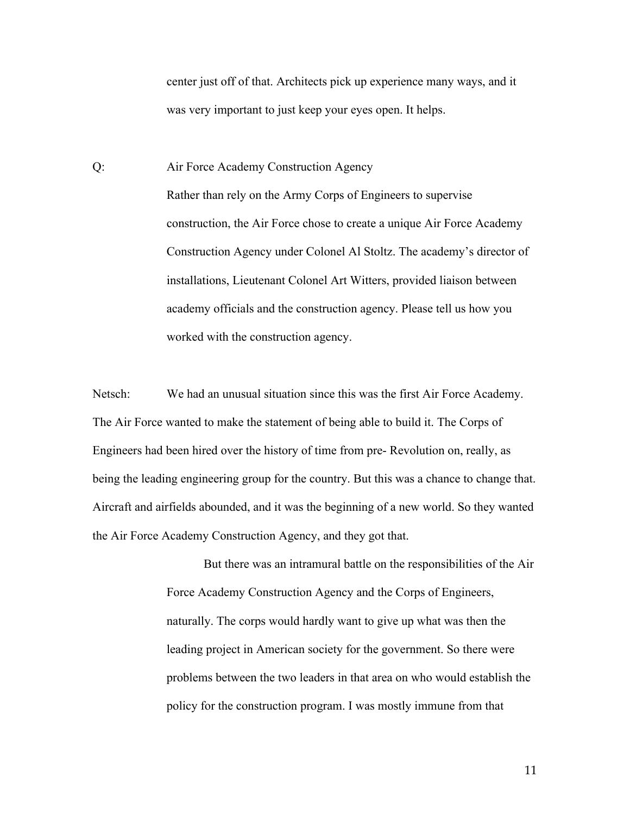center just off of that. Architects pick up experience many ways, and it was very important to just keep your eyes open. It helps.

Q: Air Force Academy Construction Agency Rather than rely on the Army Corps of Engineers to supervise construction, the Air Force chose to create a unique Air Force Academy Construction Agency under Colonel Al Stoltz. The academy's director of installations, Lieutenant Colonel Art Witters, provided liaison between academy officials and the construction agency. Please tell us how you worked with the construction agency.

Netsch: We had an unusual situation since this was the first Air Force Academy. The Air Force wanted to make the statement of being able to build it. The Corps of Engineers had been hired over the history of time from pre- Revolution on, really, as being the leading engineering group for the country. But this was a chance to change that. Aircraft and airfields abounded, and it was the beginning of a new world. So they wanted the Air Force Academy Construction Agency, and they got that.

> But there was an intramural battle on the responsibilities of the Air Force Academy Construction Agency and the Corps of Engineers, naturally. The corps would hardly want to give up what was then the leading project in American society for the government. So there were problems between the two leaders in that area on who would establish the policy for the construction program. I was mostly immune from that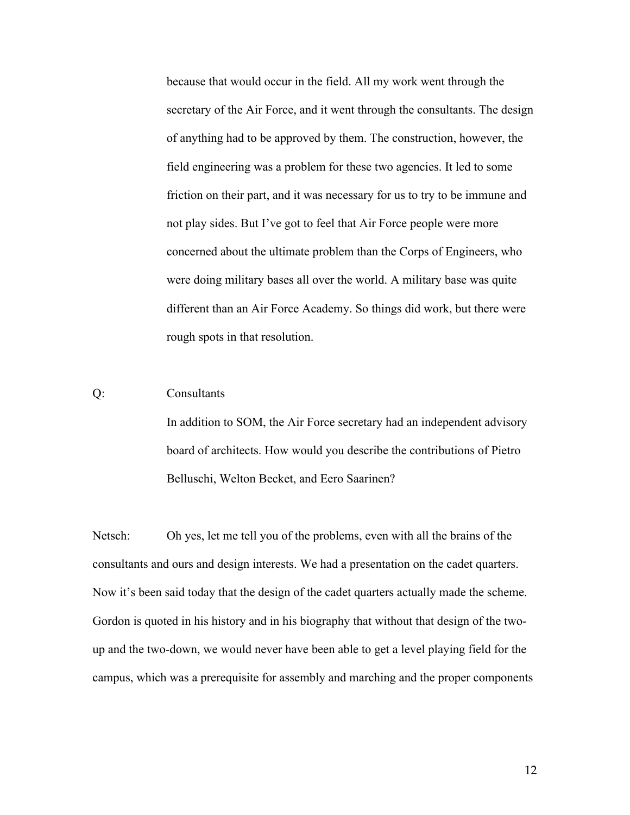because that would occur in the field. All my work went through the secretary of the Air Force, and it went through the consultants. The design of anything had to be approved by them. The construction, however, the field engineering was a problem for these two agencies. It led to some friction on their part, and it was necessary for us to try to be immune and not play sides. But I've got to feel that Air Force people were more concerned about the ultimate problem than the Corps of Engineers, who were doing military bases all over the world. A military base was quite different than an Air Force Academy. So things did work, but there were rough spots in that resolution.

# Q: Consultants

In addition to SOM, the Air Force secretary had an independent advisory board of architects. How would you describe the contributions of Pietro Belluschi, Welton Becket, and Eero Saarinen?

Netsch: Oh yes, let me tell you of the problems, even with all the brains of the consultants and ours and design interests. We had a presentation on the cadet quarters. Now it's been said today that the design of the cadet quarters actually made the scheme. Gordon is quoted in his history and in his biography that without that design of the twoup and the two-down, we would never have been able to get a level playing field for the campus, which was a prerequisite for assembly and marching and the proper components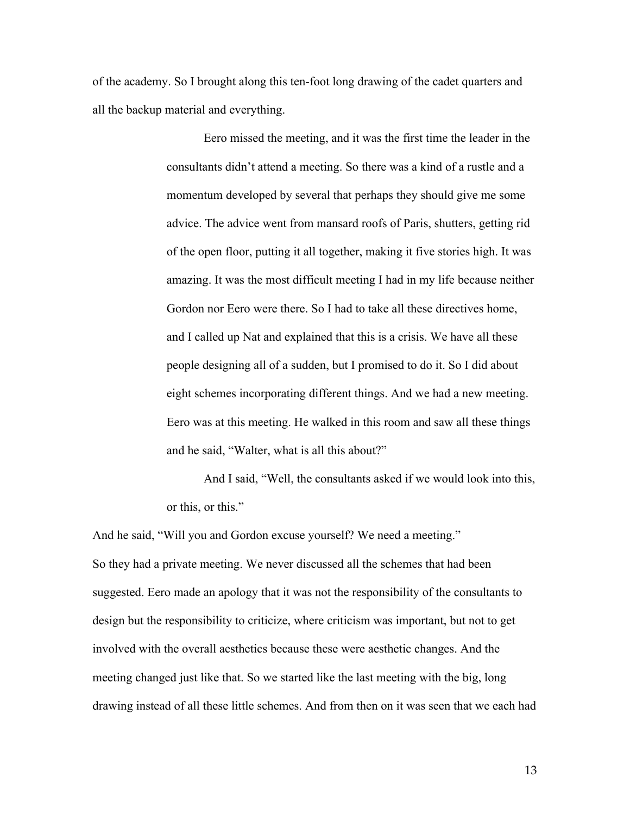of the academy. So I brought along this ten-foot long drawing of the cadet quarters and all the backup material and everything.

> Eero missed the meeting, and it was the first time the leader in the consultants didn't attend a meeting. So there was a kind of a rustle and a momentum developed by several that perhaps they should give me some advice. The advice went from mansard roofs of Paris, shutters, getting rid of the open floor, putting it all together, making it five stories high. It was amazing. It was the most difficult meeting I had in my life because neither Gordon nor Eero were there. So I had to take all these directives home, and I called up Nat and explained that this is a crisis. We have all these people designing all of a sudden, but I promised to do it. So I did about eight schemes incorporating different things. And we had a new meeting. Eero was at this meeting. He walked in this room and saw all these things and he said, "Walter, what is all this about?"

> And I said, "Well, the consultants asked if we would look into this, or this, or this."

And he said, "Will you and Gordon excuse yourself? We need a meeting." So they had a private meeting. We never discussed all the schemes that had been suggested. Eero made an apology that it was not the responsibility of the consultants to design but the responsibility to criticize, where criticism was important, but not to get involved with the overall aesthetics because these were aesthetic changes. And the meeting changed just like that. So we started like the last meeting with the big, long drawing instead of all these little schemes. And from then on it was seen that we each had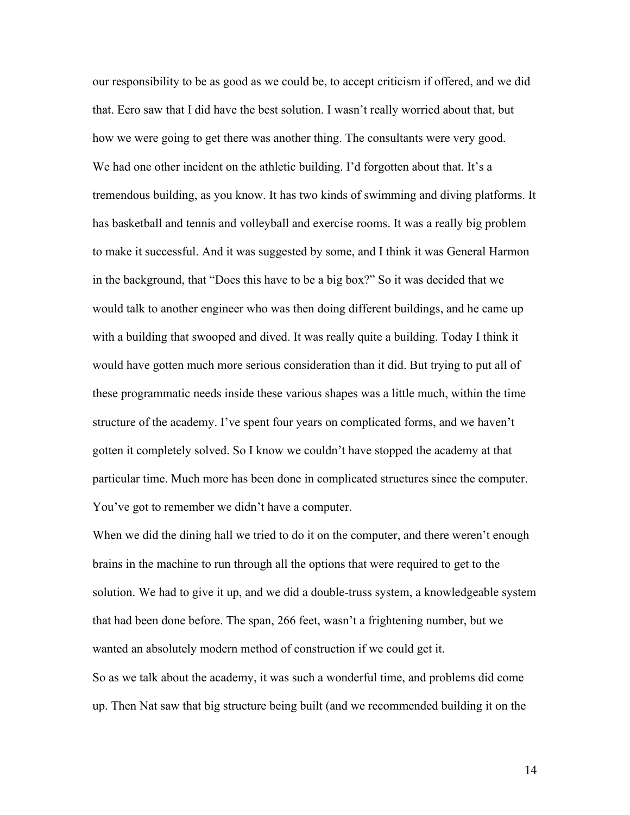our responsibility to be as good as we could be, to accept criticism if offered, and we did that. Eero saw that I did have the best solution. I wasn't really worried about that, but how we were going to get there was another thing. The consultants were very good. We had one other incident on the athletic building. I'd forgotten about that. It's a tremendous building, as you know. It has two kinds of swimming and diving platforms. It has basketball and tennis and volleyball and exercise rooms. It was a really big problem to make it successful. And it was suggested by some, and I think it was General Harmon in the background, that "Does this have to be a big box?" So it was decided that we would talk to another engineer who was then doing different buildings, and he came up with a building that swooped and dived. It was really quite a building. Today I think it would have gotten much more serious consideration than it did. But trying to put all of these programmatic needs inside these various shapes was a little much, within the time structure of the academy. I've spent four years on complicated forms, and we haven't gotten it completely solved. So I know we couldn't have stopped the academy at that particular time. Much more has been done in complicated structures since the computer. You've got to remember we didn't have a computer.

When we did the dining hall we tried to do it on the computer, and there weren't enough brains in the machine to run through all the options that were required to get to the solution. We had to give it up, and we did a double-truss system, a knowledgeable system that had been done before. The span, 266 feet, wasn't a frightening number, but we wanted an absolutely modern method of construction if we could get it. So as we talk about the academy, it was such a wonderful time, and problems did come up. Then Nat saw that big structure being built (and we recommended building it on the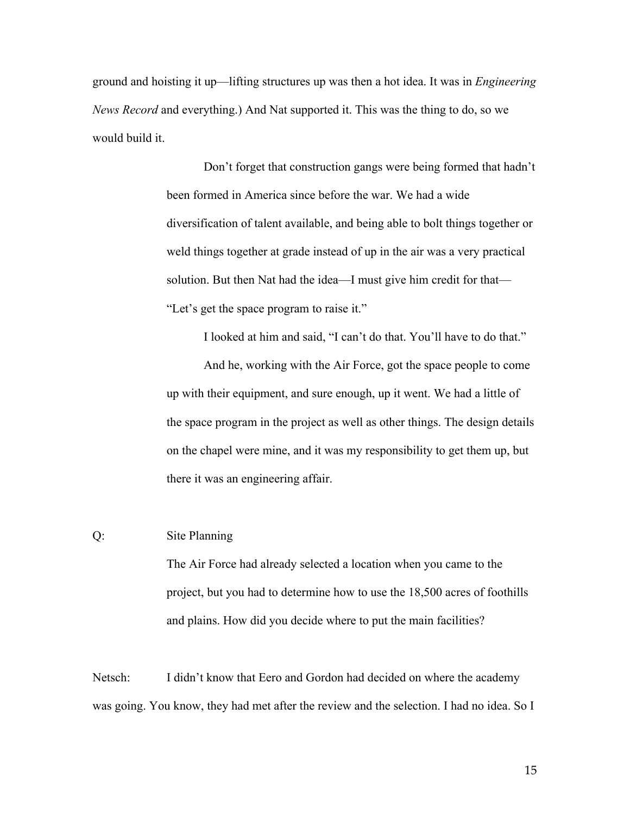ground and hoisting it up—lifting structures up was then a hot idea. It was in *Engineering News Record* and everything.) And Nat supported it. This was the thing to do, so we would build it.

> Don't forget that construction gangs were being formed that hadn't been formed in America since before the war. We had a wide diversification of talent available, and being able to bolt things together or weld things together at grade instead of up in the air was a very practical solution. But then Nat had the idea—I must give him credit for that— "Let's get the space program to raise it."

> I looked at him and said, "I can't do that. You'll have to do that." And he, working with the Air Force, got the space people to come up with their equipment, and sure enough, up it went. We had a little of the space program in the project as well as other things. The design details on the chapel were mine, and it was my responsibility to get them up, but there it was an engineering affair.

# Q: Site Planning

The Air Force had already selected a location when you came to the project, but you had to determine how to use the 18,500 acres of foothills and plains. How did you decide where to put the main facilities?

Netsch: I didn't know that Eero and Gordon had decided on where the academy was going. You know, they had met after the review and the selection. I had no idea. So I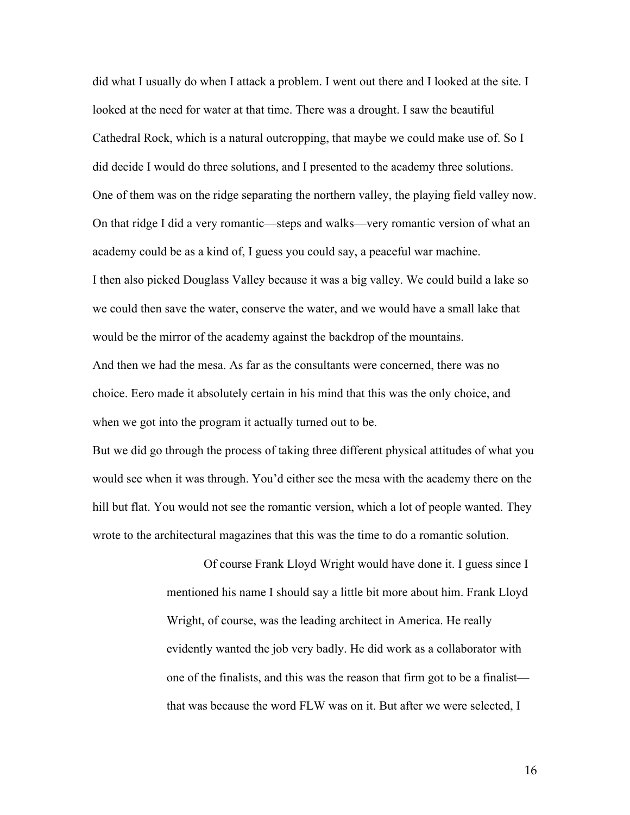did what I usually do when I attack a problem. I went out there and I looked at the site. I looked at the need for water at that time. There was a drought. I saw the beautiful Cathedral Rock, which is a natural outcropping, that maybe we could make use of. So I did decide I would do three solutions, and I presented to the academy three solutions. One of them was on the ridge separating the northern valley, the playing field valley now. On that ridge I did a very romantic—steps and walks—very romantic version of what an academy could be as a kind of, I guess you could say, a peaceful war machine. I then also picked Douglass Valley because it was a big valley. We could build a lake so we could then save the water, conserve the water, and we would have a small lake that would be the mirror of the academy against the backdrop of the mountains. And then we had the mesa. As far as the consultants were concerned, there was no choice. Eero made it absolutely certain in his mind that this was the only choice, and when we got into the program it actually turned out to be.

But we did go through the process of taking three different physical attitudes of what you would see when it was through. You'd either see the mesa with the academy there on the hill but flat. You would not see the romantic version, which a lot of people wanted. They wrote to the architectural magazines that this was the time to do a romantic solution.

> Of course Frank Lloyd Wright would have done it. I guess since I mentioned his name I should say a little bit more about him. Frank Lloyd Wright, of course, was the leading architect in America. He really evidently wanted the job very badly. He did work as a collaborator with one of the finalists, and this was the reason that firm got to be a finalist that was because the word FLW was on it. But after we were selected, I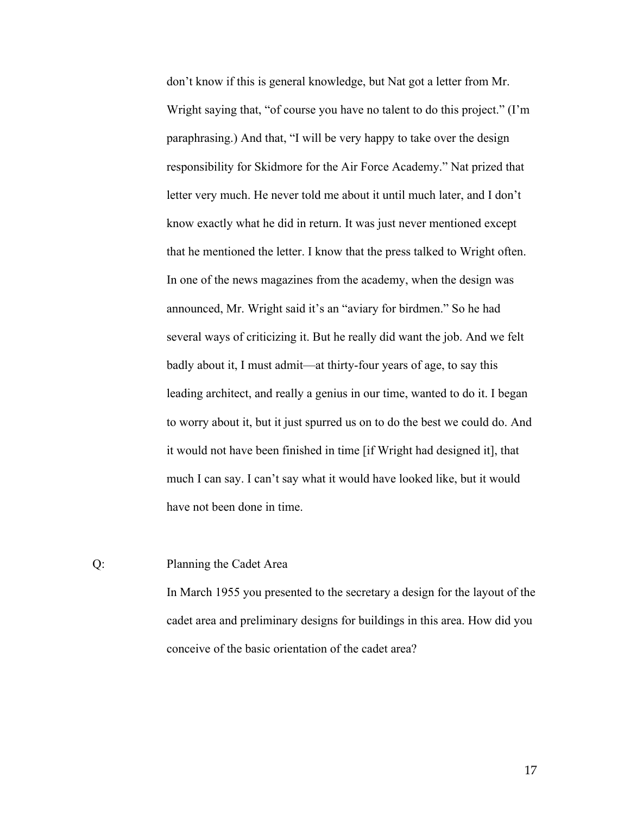don't know if this is general knowledge, but Nat got a letter from Mr. Wright saying that, "of course you have no talent to do this project." (I'm paraphrasing.) And that, "I will be very happy to take over the design responsibility for Skidmore for the Air Force Academy." Nat prized that letter very much. He never told me about it until much later, and I don't know exactly what he did in return. It was just never mentioned except that he mentioned the letter. I know that the press talked to Wright often. In one of the news magazines from the academy, when the design was announced, Mr. Wright said it's an "aviary for birdmen." So he had several ways of criticizing it. But he really did want the job. And we felt badly about it, I must admit—at thirty-four years of age, to say this leading architect, and really a genius in our time, wanted to do it. I began to worry about it, but it just spurred us on to do the best we could do. And it would not have been finished in time [if Wright had designed it], that much I can say. I can't say what it would have looked like, but it would have not been done in time.

# Q: Planning the Cadet Area

In March 1955 you presented to the secretary a design for the layout of the cadet area and preliminary designs for buildings in this area. How did you conceive of the basic orientation of the cadet area?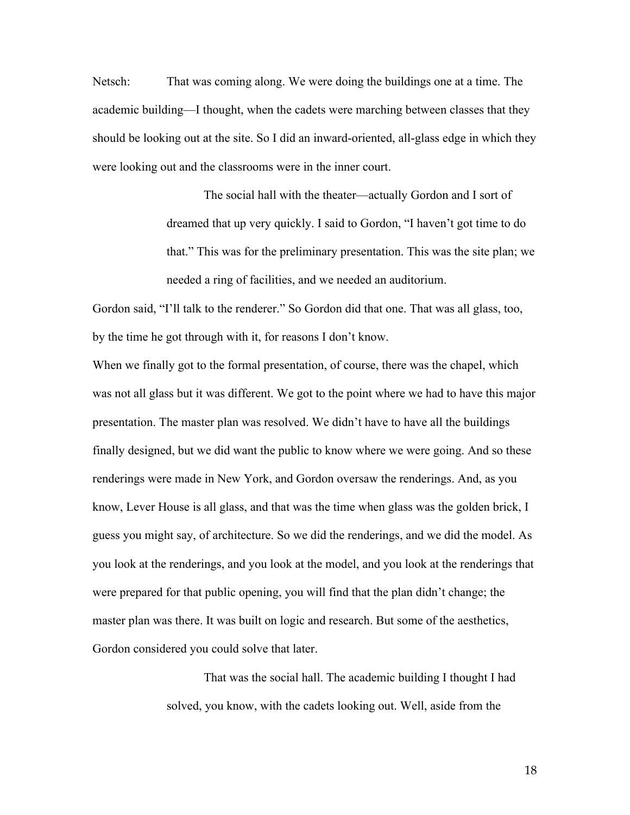Netsch: That was coming along. We were doing the buildings one at a time. The academic building—I thought, when the cadets were marching between classes that they should be looking out at the site. So I did an inward-oriented, all-glass edge in which they were looking out and the classrooms were in the inner court.

> The social hall with the theater—actually Gordon and I sort of dreamed that up very quickly. I said to Gordon, "I haven't got time to do that." This was for the preliminary presentation. This was the site plan; we needed a ring of facilities, and we needed an auditorium.

Gordon said, "I'll talk to the renderer." So Gordon did that one. That was all glass, too, by the time he got through with it, for reasons I don't know.

When we finally got to the formal presentation, of course, there was the chapel, which was not all glass but it was different. We got to the point where we had to have this major presentation. The master plan was resolved. We didn't have to have all the buildings finally designed, but we did want the public to know where we were going. And so these renderings were made in New York, and Gordon oversaw the renderings. And, as you know, Lever House is all glass, and that was the time when glass was the golden brick, I guess you might say, of architecture. So we did the renderings, and we did the model. As you look at the renderings, and you look at the model, and you look at the renderings that were prepared for that public opening, you will find that the plan didn't change; the master plan was there. It was built on logic and research. But some of the aesthetics, Gordon considered you could solve that later.

> That was the social hall. The academic building I thought I had solved, you know, with the cadets looking out. Well, aside from the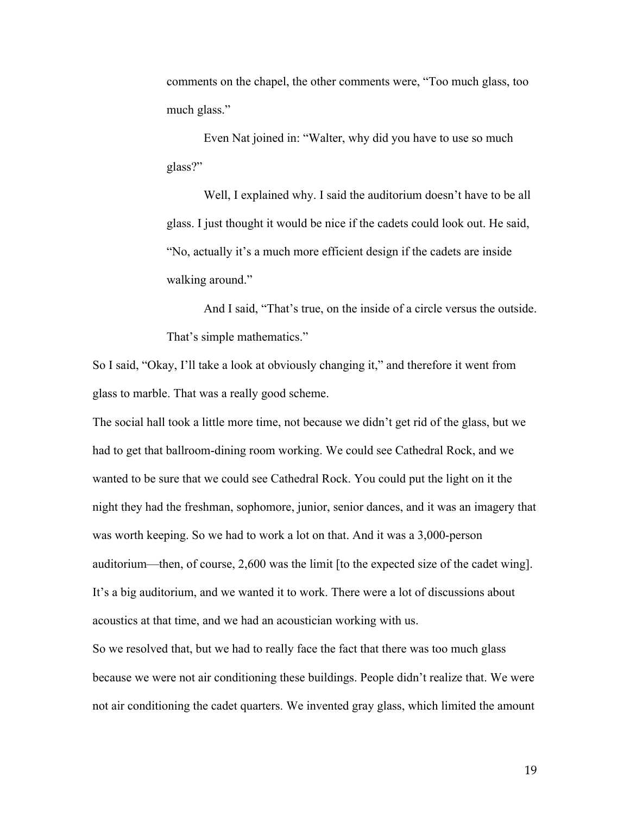comments on the chapel, the other comments were, "Too much glass, too much glass."

Even Nat joined in: "Walter, why did you have to use so much glass?"

Well, I explained why. I said the auditorium doesn't have to be all glass. I just thought it would be nice if the cadets could look out. He said, "No, actually it's a much more efficient design if the cadets are inside walking around."

And I said, "That's true, on the inside of a circle versus the outside. That's simple mathematics."

So I said, "Okay, I'll take a look at obviously changing it," and therefore it went from glass to marble. That was a really good scheme.

The social hall took a little more time, not because we didn't get rid of the glass, but we had to get that ballroom-dining room working. We could see Cathedral Rock, and we wanted to be sure that we could see Cathedral Rock. You could put the light on it the night they had the freshman, sophomore, junior, senior dances, and it was an imagery that was worth keeping. So we had to work a lot on that. And it was a 3,000-person auditorium—then, of course, 2,600 was the limit [to the expected size of the cadet wing]. It's a big auditorium, and we wanted it to work. There were a lot of discussions about acoustics at that time, and we had an acoustician working with us.

So we resolved that, but we had to really face the fact that there was too much glass because we were not air conditioning these buildings. People didn't realize that. We were not air conditioning the cadet quarters. We invented gray glass, which limited the amount